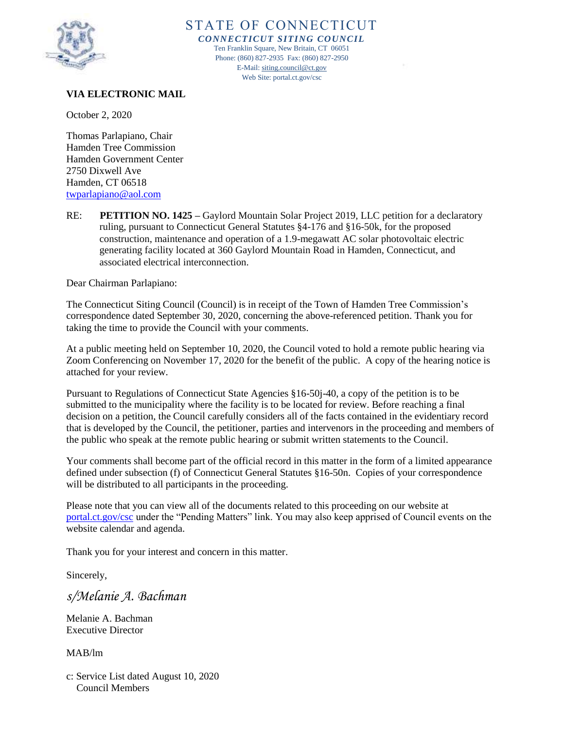

### STATE OF CONNECTICUT *CONNECTICUT SITING COUNCIL*

Ten Franklin Square, New Britain, CT 06051 Phone: (860) 827-2935 Fax: (860) 827-2950 E-Mail[: siting.council@ct.gov](mailto:siting.council@ct.gov) Web Site: portal.ct.gov/csc

## **VIA ELECTRONIC MAIL**

October 2, 2020

Thomas Parlapiano, Chair Hamden Tree Commission Hamden Government Center 2750 Dixwell Ave Hamden, CT 06518 [twparlapiano@aol.com](mailto:twparlapiano@aol.com)

RE: **PETITION NO. 1425 –** Gaylord Mountain Solar Project 2019, LLC petition for a declaratory ruling, pursuant to Connecticut General Statutes §4-176 and §16-50k, for the proposed construction, maintenance and operation of a 1.9-megawatt AC solar photovoltaic electric generating facility located at 360 Gaylord Mountain Road in Hamden, Connecticut, and associated electrical interconnection.

Dear Chairman Parlapiano:

The Connecticut Siting Council (Council) is in receipt of the Town of Hamden Tree Commission's correspondence dated September 30, 2020, concerning the above-referenced petition. Thank you for taking the time to provide the Council with your comments.

At a public meeting held on September 10, 2020, the Council voted to hold a remote public hearing via Zoom Conferencing on November 17, 2020 for the benefit of the public. A copy of the hearing notice is attached for your review.

Pursuant to Regulations of Connecticut State Agencies §16-50j-40, a copy of the petition is to be submitted to the municipality where the facility is to be located for review. Before reaching a final decision on a petition, the Council carefully considers all of the facts contained in the evidentiary record that is developed by the Council, the petitioner, parties and intervenors in the proceeding and members of the public who speak at the remote public hearing or submit written statements to the Council.

Your comments shall become part of the official record in this matter in the form of a limited appearance defined under subsection (f) of Connecticut General Statutes §16-50n. Copies of your correspondence will be distributed to all participants in the proceeding.

Please note that you can view all of the documents related to this proceeding on our website at [portal.ct.gov/csc](http://www.portal.ct.gov/csc) under the "Pending Matters" link. You may also keep apprised of Council events on the website calendar and agenda.

Thank you for your interest and concern in this matter.

Sincerely,

*s/Melanie A. Bachman*

Melanie A. Bachman Executive Director

MAB/lm

c: Service List dated August 10, 2020 Council Members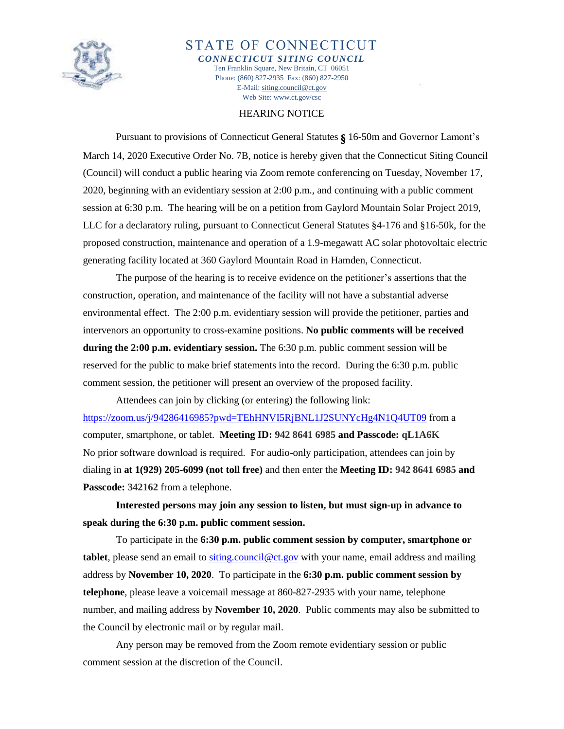

STATE OF CONNECTICUT *CONNECTICUT SITING COUNCIL* Ten Franklin Square, New Britain, CT 06051 Phone: (860) 827-2935 Fax: (860) 827-2950 E-Mail[: siting.council@ct.gov](mailto:siting.council@ct.gov) Web Site: www.ct.gov/csc

### HEARING NOTICE

Pursuant to provisions of Connecticut General Statutes § 16-50m and Governor Lamont's March 14, 2020 Executive Order No. 7B, notice is hereby given that the Connecticut Siting Council (Council) will conduct a public hearing via Zoom remote conferencing on Tuesday, November 17, 2020, beginning with an evidentiary session at 2:00 p.m., and continuing with a public comment session at 6:30 p.m. The hearing will be on a petition from Gaylord Mountain Solar Project 2019, LLC for a declaratory ruling, pursuant to Connecticut General Statutes §4-176 and §16-50k, for the proposed construction, maintenance and operation of a 1.9-megawatt AC solar photovoltaic electric generating facility located at 360 Gaylord Mountain Road in Hamden, Connecticut.

The purpose of the hearing is to receive evidence on the petitioner's assertions that the construction, operation, and maintenance of the facility will not have a substantial adverse environmental effect. The 2:00 p.m. evidentiary session will provide the petitioner, parties and intervenors an opportunity to cross-examine positions. **No public comments will be received during the 2:00 p.m. evidentiary session.** The 6:30 p.m. public comment session will be reserved for the public to make brief statements into the record. During the 6:30 p.m. public comment session, the petitioner will present an overview of the proposed facility.

Attendees can join by clicking (or entering) the following link: <https://zoom.us/j/94286416985?pwd=TEhHNVI5RjBNL1J2SUNYcHg4N1Q4UT09> from a computer, smartphone, or tablet. **Meeting ID: 942 8641 6985 and Passcode: qL1A6K** No prior software download is required. For audio-only participation, attendees can join by dialing in **at 1(929) 205-6099 (not toll free)** and then enter the **Meeting ID: 942 8641 6985 and Passcode: 342162** from a telephone.

**Interested persons may join any session to listen, but must sign-up in advance to speak during the 6:30 p.m. public comment session.**

To participate in the **6:30 p.m. public comment session by computer, smartphone or tablet**, please send an email to [siting.council@ct.gov](mailto:siting.council@ct.gov) with your name, email address and mailing address by **November 10, 2020**. To participate in the **6:30 p.m. public comment session by telephone**, please leave a voicemail message at 860-827-2935 with your name, telephone number, and mailing address by **November 10, 2020**. Public comments may also be submitted to the Council by electronic mail or by regular mail.

Any person may be removed from the Zoom remote evidentiary session or public comment session at the discretion of the Council.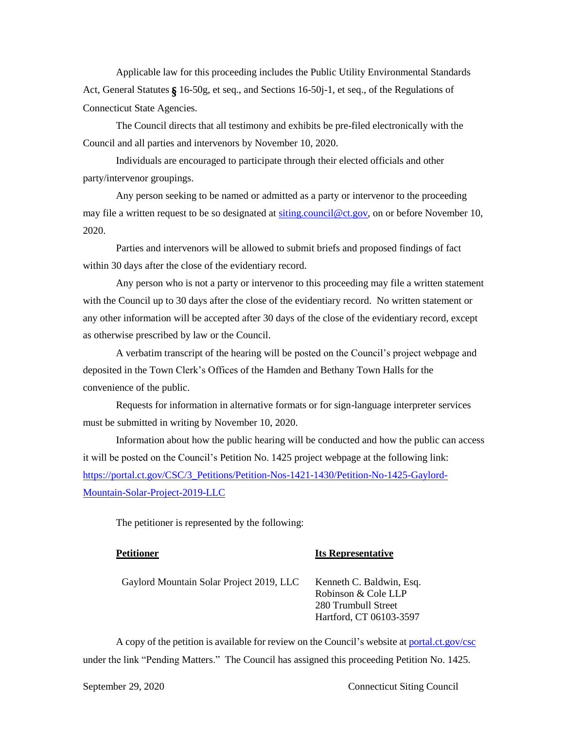Applicable law for this proceeding includes the Public Utility Environmental Standards Act, General Statutes § 16-50g, et seq., and Sections 16-50j-1, et seq., of the Regulations of Connecticut State Agencies.

The Council directs that all testimony and exhibits be pre-filed electronically with the Council and all parties and intervenors by November 10, 2020.

Individuals are encouraged to participate through their elected officials and other party/intervenor groupings.

Any person seeking to be named or admitted as a party or intervenor to the proceeding may file a written request to be so designated at [siting.council@ct.gov,](mailto:siting.council@ct.gov) on or before November 10, 2020.

Parties and intervenors will be allowed to submit briefs and proposed findings of fact within 30 days after the close of the evidentiary record.

Any person who is not a party or intervenor to this proceeding may file a written statement with the Council up to 30 days after the close of the evidentiary record. No written statement or any other information will be accepted after 30 days of the close of the evidentiary record, except as otherwise prescribed by law or the Council.

A verbatim transcript of the hearing will be posted on the Council's project webpage and deposited in the Town Clerk's Offices of the Hamden and Bethany Town Halls for the convenience of the public.

Requests for information in alternative formats or for sign-language interpreter services must be submitted in writing by November 10, 2020.

Information about how the public hearing will be conducted and how the public can access it will be posted on the Council's Petition No. 1425 project webpage at the following link: [https://portal.ct.gov/CSC/3\\_Petitions/Petition-Nos-1421-1430/Petition-No-1425-Gaylord-](https://portal.ct.gov/CSC/3_Petitions/Petition-Nos-1421-1430/Petition-No-1425-Gaylord-Mountain-Solar-Project-2019-LLC)[Mountain-Solar-Project-2019-LLC](https://portal.ct.gov/CSC/3_Petitions/Petition-Nos-1421-1430/Petition-No-1425-Gaylord-Mountain-Solar-Project-2019-LLC)

The petitioner is represented by the following:

### **Petitioner Its Representative**

| Gaylord Mountain Solar Project 2019, LLC | Kenneth C. Baldwin, Esq. |
|------------------------------------------|--------------------------|
|                                          | Robinson & Cole LLP      |
|                                          | 280 Trumbull Street      |
|                                          | Hartford, CT 06103-3597  |

A copy of the petition is available for review on the Council's website at [portal.ct.gov/csc](http://www.ct.gov/csc) under the link "Pending Matters." The Council has assigned this proceeding Petition No. 1425.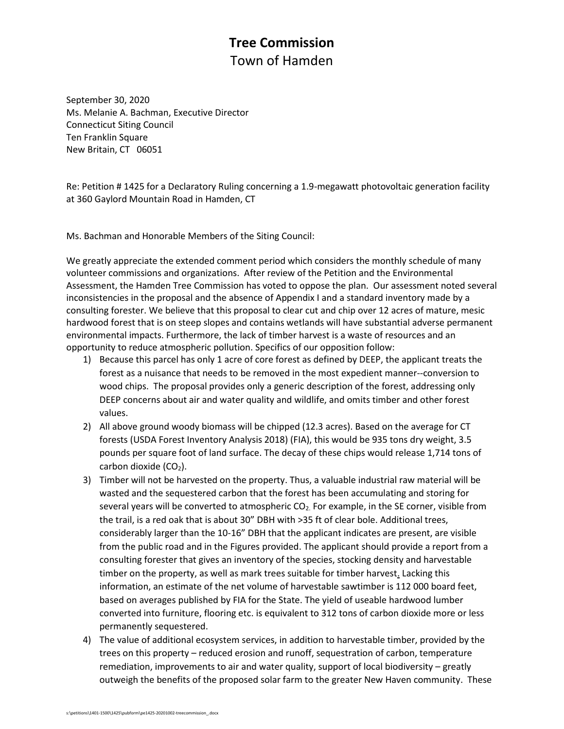# **Tree Commission** Town of Hamden

September 30, 2020 Ms. Melanie A. Bachman, Executive Director Connecticut Siting Council Ten Franklin Square New Britain, CT 06051

Re: Petition # 1425 for a Declaratory Ruling concerning a 1.9-megawatt photovoltaic generation facility at 360 Gaylord Mountain Road in Hamden, CT

Ms. Bachman and Honorable Members of the Siting Council:

We greatly appreciate the extended comment period which considers the monthly schedule of many volunteer commissions and organizations. After review of the Petition and the Environmental Assessment, the Hamden Tree Commission has voted to oppose the plan. Our assessment noted several inconsistencies in the proposal and the absence of Appendix I and a standard inventory made by a consulting forester. We believe that this proposal to clear cut and chip over 12 acres of mature, mesic hardwood forest that is on steep slopes and contains wetlands will have substantial adverse permanent environmental impacts. Furthermore, the lack of timber harvest is a waste of resources and an opportunity to reduce atmospheric pollution. Specifics of our opposition follow:

- 1) Because this parcel has only 1 acre of core forest as defined by DEEP, the applicant treats the forest as a nuisance that needs to be removed in the most expedient manner--conversion to wood chips. The proposal provides only a generic description of the forest, addressing only DEEP concerns about air and water quality and wildlife, and omits timber and other forest values.
- 2) All above ground woody biomass will be chipped (12.3 acres). Based on the average for CT forests (USDA Forest Inventory Analysis 2018) (FIA), this would be 935 tons dry weight, 3.5 pounds per square foot of land surface. The decay of these chips would release 1,714 tons of carbon dioxide  $(CO<sub>2</sub>)$ .
- 3) Timber will not be harvested on the property. Thus, a valuable industrial raw material will be wasted and the sequestered carbon that the forest has been accumulating and storing for several years will be converted to atmospheric CO<sub>2</sub>. For example, in the SE corner, visible from the trail, is a red oak that is about 30" DBH with >35 ft of clear bole. Additional trees, considerably larger than the 10-16" DBH that the applicant indicates are present, are visible from the public road and in the Figures provided. The applicant should provide a report from a consulting forester that gives an inventory of the species, stocking density and harvestable timber on the property, as well as mark trees suitable for timber harvest. Lacking this information, an estimate of the net volume of harvestable sawtimber is 112 000 board feet, based on averages published by FIA for the State. The yield of useable hardwood lumber converted into furniture, flooring etc. is equivalent to 312 tons of carbon dioxide more or less permanently sequestered.
- 4) The value of additional ecosystem services, in addition to harvestable timber, provided by the trees on this property – reduced erosion and runoff, sequestration of carbon, temperature remediation, improvements to air and water quality, support of local biodiversity – greatly outweigh the benefits of the proposed solar farm to the greater New Haven community. These